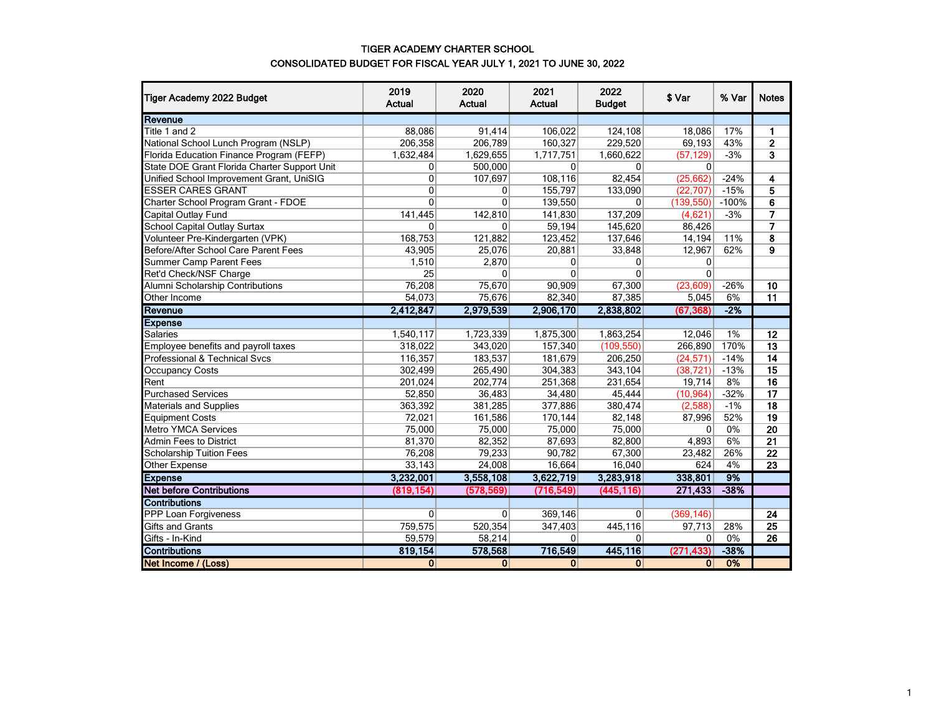### TIGER ACADEMY CHARTER SCHOOL CONSOLIDATED BUDGET FOR FISCAL YEAR JULY 1, 2021 TO JUNE 30, 2022

| Tiger Academy 2022 Budget                    | 2019<br><b>Actual</b> | 2020<br><b>Actual</b> | 2021<br>Actual | 2022<br><b>Budget</b> | \$ Var       | % Var   | <b>Notes</b>    |
|----------------------------------------------|-----------------------|-----------------------|----------------|-----------------------|--------------|---------|-----------------|
| Revenue                                      |                       |                       |                |                       |              |         |                 |
| Title 1 and 2                                | 88,086                | 91,414                | 106.022        | 124,108               | 18.086       | 17%     | $\mathbf{1}$    |
| National School Lunch Program (NSLP)         | 206,358               | 206,789               | 160,327        | 229,520               | 69,193       | 43%     | $\mathbf{2}$    |
| Florida Education Finance Program (FEFP)     | 1,632,484             | 1,629,655             | 1,717,751      | 1,660,622             | (57, 129)    | $-3%$   | 3               |
| State DOE Grant Florida Charter Support Unit | $\overline{0}$        | 500,000               | 0              | $\Omega$              | $\Omega$     |         |                 |
| Unified School Improvement Grant, UniSIG     | $\overline{0}$        | 107,697               | 108,116        | 82,454                | (25, 662)    | $-24%$  | 4               |
| <b>ESSER CARES GRANT</b>                     | $\mathbf{0}$          | 0                     | 155,797        | 133,090               | (22, 707)    | $-15%$  | 5               |
| Charter School Program Grant - FDOE          | $\Omega$              | $\Omega$              | 139,550        | $\Omega$              | (139, 550)   | $-100%$ | 6               |
| Capital Outlay Fund                          | 141,445               | 142,810               | 141,830        | 137,209               | (4,621)      | $-3%$   | 7               |
| <b>School Capital Outlay Surtax</b>          | $\mathbf{0}$          | $\Omega$              | 59,194         | 145,620               | 86,426       |         | $\overline{7}$  |
| Volunteer Pre-Kindergarten (VPK)             | 168,753               | 121,882               | 123,452        | 137,646               | 14,194       | 11%     | 8               |
| Before/After School Care Parent Fees         | 43,905                | 25,076                | 20,881         | 33,848                | 12,967       | 62%     | $\overline{9}$  |
| <b>Summer Camp Parent Fees</b>               | 1,510                 | 2,870                 | 0              | $\overline{0}$        | 0            |         |                 |
| Ret'd Check/NSF Charge                       | 25                    | $\Omega$              | $\Omega$       | $\Omega$              | $\Omega$     |         |                 |
| Alumni Scholarship Contributions             | 76,208                | 75,670                | 90,909         | 67,300                | (23,609)     | $-26%$  | 10              |
| Other Income                                 | 54,073                | 75,676                | 82,340         | 87,385                | 5,045        | 6%      | 11              |
| Revenue                                      | 2,412,847             | 2,979,539             | 2,906,170      | 2,838,802             | (67, 368)    | $-2%$   |                 |
| <b>Expense</b>                               |                       |                       |                |                       |              |         |                 |
| Salaries                                     | 1,540,117             | 1,723,339             | 1,875,300      | 1,863,254             | 12,046       | 1%      | 12              |
| Employee benefits and payroll taxes          | 318,022               | 343,020               | 157,340        | (109, 550)            | 266,890      | 170%    | 13              |
| Professional & Technical Svcs                | 116,357               | 183,537               | 181,679        | 206,250               | (24, 571)    | $-14%$  | 14              |
| Occupancy Costs                              | 302,499               | 265,490               | 304,383        | 343,104               | (38, 721)    | $-13%$  | 15              |
| Rent                                         | 201,024               | 202,774               | 251,368        | 231,654               | 19,714       | 8%      | 16              |
| <b>Purchased Services</b>                    | 52,850                | 36,483                | 34,480         | 45,444                | (10, 964)    | $-32%$  | 17              |
| <b>Materials and Supplies</b>                | 363,392               | 381,285               | 377,886        | 380,474               | (2,588)      | $-1%$   | 18              |
| <b>Equipment Costs</b>                       | 72,021                | 161,586               | 170,144        | 82,148                | 87,996       | 52%     | 19              |
| <b>Metro YMCA Services</b>                   | 75,000                | 75,000                | 75,000         | 75,000                | $\mathbf{0}$ | 0%      | $\overline{20}$ |
| <b>Admin Fees to District</b>                | 81,370                | 82,352                | 87,693         | 82,800                | 4,893        | 6%      | $\overline{21}$ |
| <b>Scholarship Tuition Fees</b>              | 76,208                | 79,233                | 90,782         | 67,300                | 23,482       | 26%     | $\overline{22}$ |
| Other Expense                                | 33,143                | 24,008                | 16,664         | 16,040                | 624          | 4%      | 23              |
| <b>Expense</b>                               | 3,232,001             | 3,558,108             | 3,622,719      | 3,283,918             | 338,801      | 9%      |                 |
| <b>Net before Contributions</b>              | (819, 154)            | (578, 569)            | (716, 549)     | (445, 116)            | 271,433      | $-38%$  |                 |
| <b>Contributions</b>                         |                       |                       |                |                       |              |         |                 |
| <b>PPP Loan Forgiveness</b>                  | $\Omega$              | $\Omega$              | 369,146        | $\overline{0}$        | (369, 146)   |         | 24              |
| Gifts and Grants                             | 759,575               | 520,354               | 347,403        | 445,116               | 97,713       | 28%     | 25              |
| Gifts - In-Kind                              | 59,579                | 58,214                | 0              | $\overline{0}$        | $\mathbf{0}$ | 0%      | 26              |
| <b>Contributions</b>                         | 819,154               | 578,568               | 716,549        | 445,116               | (271.433)    | $-38%$  |                 |
| Net Income / (Loss)                          | $\overline{0}$        | 0                     | $\mathbf{0}$   | 0                     | 0            | 0%      |                 |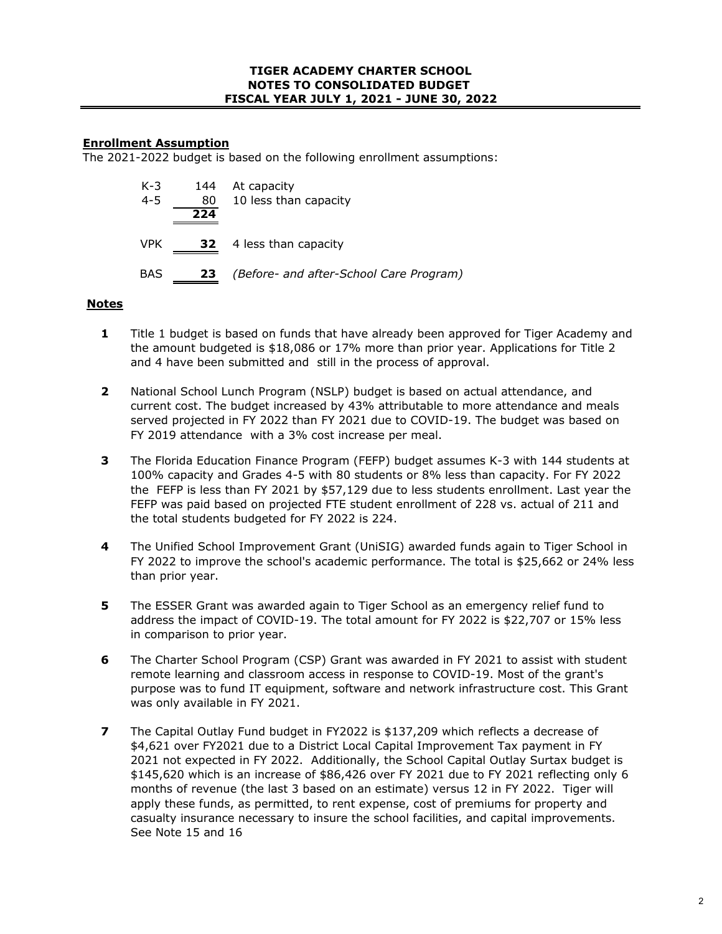# **Enrollment Assumption**

The 2021-2022 budget is based on the following enrollment assumptions:

| $K-3$<br>$4 - 5$ | 144<br>80<br>224 | At capacity<br>10 less than capacity    |
|------------------|------------------|-----------------------------------------|
| <b>VPK</b>       | 32               | 4 less than capacity                    |
| <b>BAS</b>       | 23               | (Before- and after-School Care Program) |

## **Notes**

- **1** Title 1 budget is based on funds that have already been approved for Tiger Academy and the amount budgeted is \$18,086 or 17% more than prior year. Applications for Title 2 and 4 have been submitted and still in the process of approval.
- **2** National School Lunch Program (NSLP) budget is based on actual attendance, and current cost. The budget increased by 43% attributable to more attendance and meals served projected in FY 2022 than FY 2021 due to COVID-19. The budget was based on FY 2019 attendance with a 3% cost increase per meal.
- **3** The Florida Education Finance Program (FEFP) budget assumes K-3 with 144 students at 100% capacity and Grades 4-5 with 80 students or 8% less than capacity. For FY 2022 the FEFP is less than FY 2021 by \$57,129 due to less students enrollment. Last year the FEFP was paid based on projected FTE student enrollment of 228 vs. actual of 211 and the total students budgeted for FY 2022 is 224.
- **4** The Unified School Improvement Grant (UniSIG) awarded funds again to Tiger School in FY 2022 to improve the school's academic performance. The total is \$25,662 or 24% less than prior year.
- **5** The ESSER Grant was awarded again to Tiger School as an emergency relief fund to address the impact of COVID-19. The total amount for FY 2022 is \$22,707 or 15% less in comparison to prior year.
- **6** The Charter School Program (CSP) Grant was awarded in FY 2021 to assist with student remote learning and classroom access in response to COVID-19. Most of the grant's purpose was to fund IT equipment, software and network infrastructure cost. This Grant was only available in FY 2021.
- **7** The Capital Outlay Fund budget in FY2022 is \$137,209 which reflects a decrease of \$4,621 over FY2021 due to a District Local Capital Improvement Tax payment in FY 2021 not expected in FY 2022. Additionally, the School Capital Outlay Surtax budget is \$145,620 which is an increase of \$86,426 over FY 2021 due to FY 2021 reflecting only 6 months of revenue (the last 3 based on an estimate) versus 12 in FY 2022. Tiger will apply these funds, as permitted, to rent expense, cost of premiums for property and casualty insurance necessary to insure the school facilities, and capital improvements. See Note 15 and 16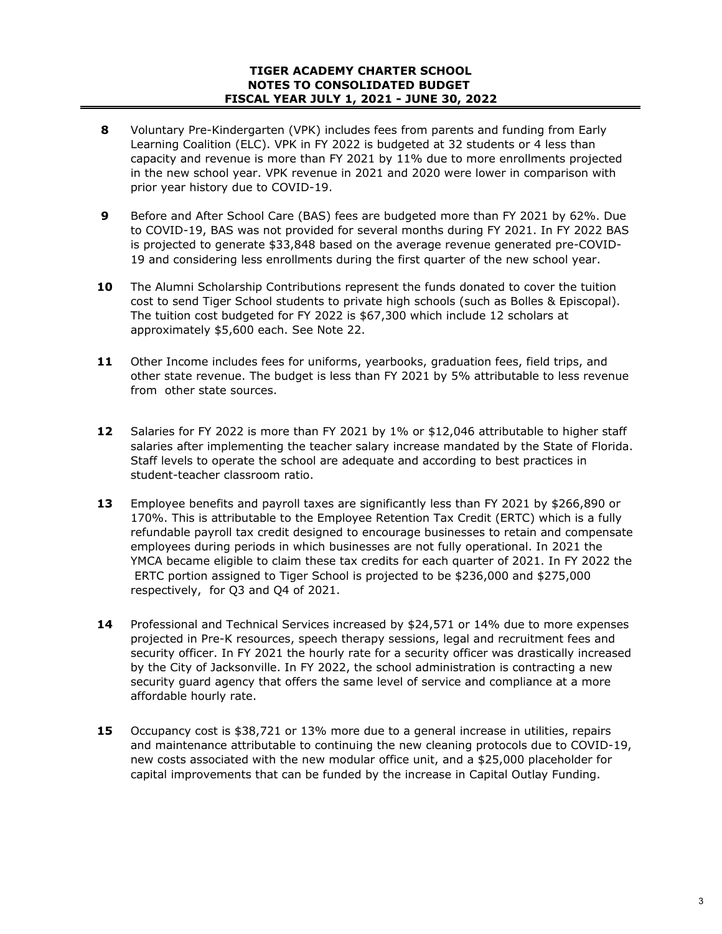## **TIGER ACADEMY CHARTER SCHOOL NOTES TO CONSOLIDATED BUDGET FISCAL YEAR JULY 1, 2021 - JUNE 30, 2022**

- **8** Voluntary Pre-Kindergarten (VPK) includes fees from parents and funding from Early Learning Coalition (ELC). VPK in FY 2022 is budgeted at 32 students or 4 less than capacity and revenue is more than FY 2021 by 11% due to more enrollments projected in the new school year. VPK revenue in 2021 and 2020 were lower in comparison with prior year history due to COVID-19.
- **9** Before and After School Care (BAS) fees are budgeted more than FY 2021 by 62%. Due to COVID-19, BAS was not provided for several months during FY 2021. In FY 2022 BAS is projected to generate \$33,848 based on the average revenue generated pre-COVID-19 and considering less enrollments during the first quarter of the new school year.
- **10** The Alumni Scholarship Contributions represent the funds donated to cover the tuition cost to send Tiger School students to private high schools (such as Bolles & Episcopal). The tuition cost budgeted for FY 2022 is \$67,300 which include 12 scholars at approximately \$5,600 each. See Note 22.
- **11** Other Income includes fees for uniforms, yearbooks, graduation fees, field trips, and other state revenue. The budget is less than FY 2021 by 5% attributable to less revenue from other state sources.
- **12** Salaries for FY 2022 is more than FY 2021 by 1% or \$12,046 attributable to higher staff salaries after implementing the teacher salary increase mandated by the State of Florida. Staff levels to operate the school are adequate and according to best practices in student-teacher classroom ratio.
- **13** Employee benefits and payroll taxes are significantly less than FY 2021 by \$266,890 or 170%. This is attributable to the Employee Retention Tax Credit (ERTC) which is a fully refundable payroll tax credit designed to encourage businesses to retain and compensate employees during periods in which businesses are not fully operational. In 2021 the YMCA became eligible to claim these tax credits for each quarter of 2021. In FY 2022 the ERTC portion assigned to Tiger School is projected to be \$236,000 and \$275,000 respectively, for Q3 and Q4 of 2021.
- **14** Professional and Technical Services increased by \$24,571 or 14% due to more expenses projected in Pre-K resources, speech therapy sessions, legal and recruitment fees and security officer. In FY 2021 the hourly rate for a security officer was drastically increased by the City of Jacksonville. In FY 2022, the school administration is contracting a new security guard agency that offers the same level of service and compliance at a more affordable hourly rate.
- **15** Occupancy cost is \$38,721 or 13% more due to a general increase in utilities, repairs and maintenance attributable to continuing the new cleaning protocols due to COVID-19, new costs associated with the new modular office unit, and a \$25,000 placeholder for capital improvements that can be funded by the increase in Capital Outlay Funding.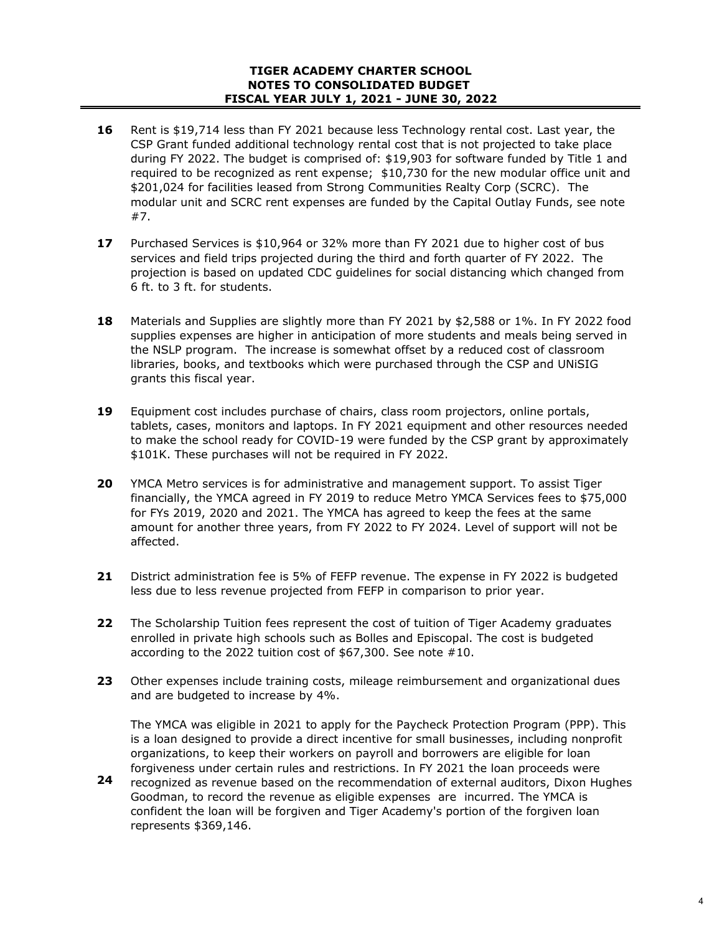## **TIGER ACADEMY CHARTER SCHOOL NOTES TO CONSOLIDATED BUDGET FISCAL YEAR JULY 1, 2021 - JUNE 30, 2022**

- **16** Rent is \$19,714 less than FY 2021 because less Technology rental cost. Last year, the CSP Grant funded additional technology rental cost that is not projected to take place during FY 2022. The budget is comprised of: \$19,903 for software funded by Title 1 and required to be recognized as rent expense; \$10,730 for the new modular office unit and \$201,024 for facilities leased from Strong Communities Realty Corp (SCRC). The modular unit and SCRC rent expenses are funded by the Capital Outlay Funds, see note #7.
- **17** Purchased Services is \$10,964 or 32% more than FY 2021 due to higher cost of bus services and field trips projected during the third and forth quarter of FY 2022. The projection is based on updated CDC guidelines for social distancing which changed from 6 ft. to 3 ft. for students.
- **18** Materials and Supplies are slightly more than FY 2021 by \$2,588 or 1%. In FY 2022 food supplies expenses are higher in anticipation of more students and meals being served in the NSLP program. The increase is somewhat offset by a reduced cost of classroom libraries, books, and textbooks which were purchased through the CSP and UNiSIG grants this fiscal year.
- **19** Equipment cost includes purchase of chairs, class room projectors, online portals, tablets, cases, monitors and laptops. In FY 2021 equipment and other resources needed to make the school ready for COVID-19 were funded by the CSP grant by approximately \$101K. These purchases will not be required in FY 2022.
- **20** YMCA Metro services is for administrative and management support. To assist Tiger financially, the YMCA agreed in FY 2019 to reduce Metro YMCA Services fees to \$75,000 for FYs 2019, 2020 and 2021. The YMCA has agreed to keep the fees at the same amount for another three years, from FY 2022 to FY 2024. Level of support will not be affected.
- **21** District administration fee is 5% of FEFP revenue. The expense in FY 2022 is budgeted less due to less revenue projected from FEFP in comparison to prior year.
- **22** The Scholarship Tuition fees represent the cost of tuition of Tiger Academy graduates enrolled in private high schools such as Bolles and Episcopal. The cost is budgeted according to the 2022 tuition cost of \$67,300. See note #10.
- **23** Other expenses include training costs, mileage reimbursement and organizational dues and are budgeted to increase by 4%.

The YMCA was eligible in 2021 to apply for the Paycheck Protection Program (PPP). This is a loan designed to provide a direct incentive for small businesses, including nonprofit organizations, to keep their workers on payroll and borrowers are eligible for loan forgiveness under certain rules and restrictions. In FY 2021 the loan proceeds were

**24** recognized as revenue based on the recommendation of external auditors, Dixon Hughes Goodman, to record the revenue as eligible expenses are incurred. The YMCA is confident the loan will be forgiven and Tiger Academy's portion of the forgiven loan represents \$369,146.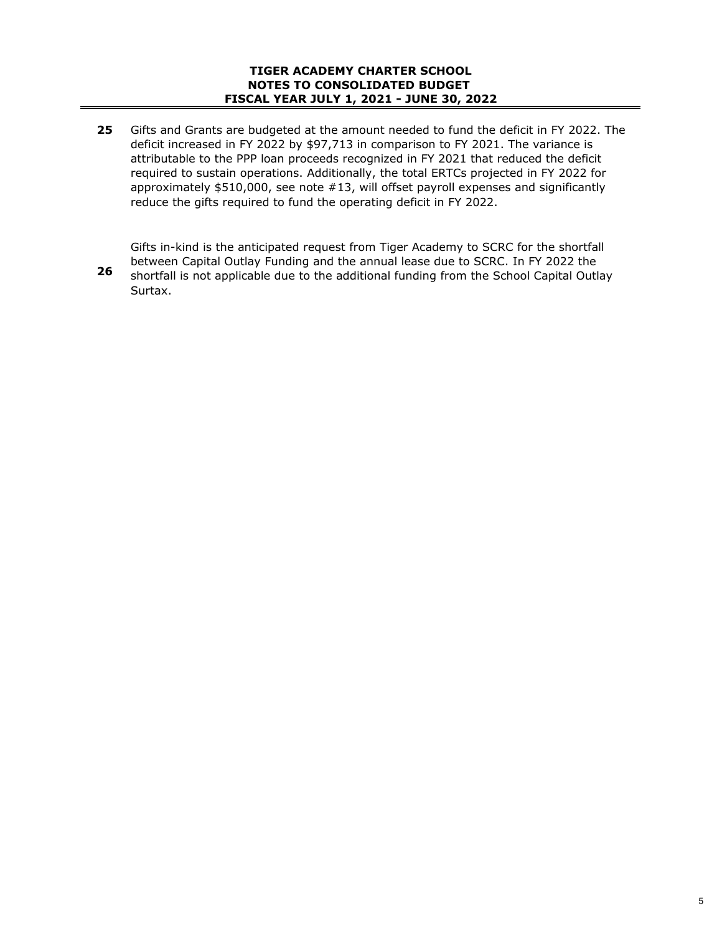**25** Gifts and Grants are budgeted at the amount needed to fund the deficit in FY 2022. The deficit increased in FY 2022 by \$97,713 in comparison to FY 2021. The variance is attributable to the PPP loan proceeds recognized in FY 2021 that reduced the deficit required to sustain operations. Additionally, the total ERTCs projected in FY 2022 for approximately \$510,000, see note #13, will offset payroll expenses and significantly reduce the gifts required to fund the operating deficit in FY 2022.

Gifts in-kind is the anticipated request from Tiger Academy to SCRC for the shortfall between Capital Outlay Funding and the annual lease due to SCRC. In FY 2022 the shortfall is not applicable due to the additional funding from the School Capital Outlay Surtax.

**26**